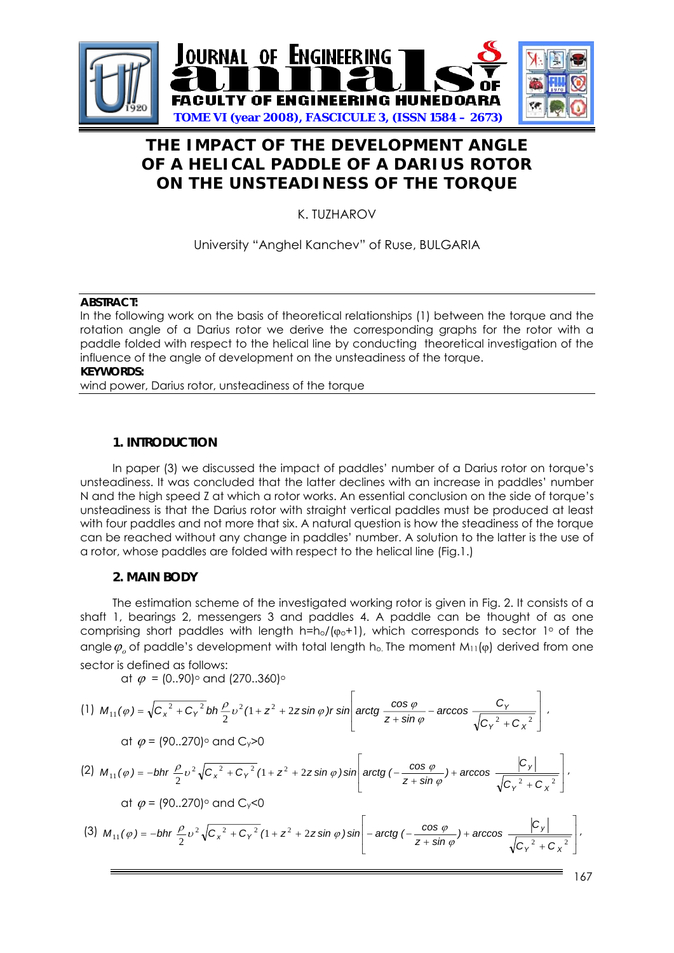

# **THE IMPACT OF THE DEVELOPMENT ANGLE OF A HELICAL PADDLE OF A DARIUS ROTOR ON THE UNSTEADINESS OF THE TORQUE**

K. TUZHAROV

# University "Anghel Kanchev" of Ruse, BULGARIA

#### **ABSTRACT:**

In the following work on the basis of theoretical relationships (1) between the torque and the rotation angle of a Darius rotor we derive the corresponding graphs for the rotor with a paddle folded with respect to the helical line by conducting theoretical investigation of the influence of the angle of development on the unsteadiness of the torque. **KEYWORDS:** 

wind power, Darius rotor, unsteadiness of the torque

# **1. INTRODUCTION**

In paper (3) we discussed the impact of paddles' number of a Darius rotor on torque's unsteadiness. It was concluded that the latter declines with an increase in paddles' number N and the high speed Z at which a rotor works. An essential conclusion on the side of torque's unsteadiness is that the Darius rotor with straight vertical paddles must be produced at least with four paddles and not more that six. A natural question is how the steadiness of the torque can be reached without any change in paddles' number. A solution to the latter is the use of a rotor, whose paddles are folded with respect to the helical line (Fig.1.)

## **2. MAIN BODY**

The estimation scheme of the investigated working rotor is given in Fig. 2. It consists of a shaft 1, bearings 2, messengers 3 and paddles 4. A paddle can be thought of as one comprising short paddles with length h=ho/( $\varphi$ <sup>+1</sup>), which corresponds to sector 1° of the angle  $\varphi_{\scriptscriptstyle{\alpha}}$  of paddle's development with total length h<sub>o</sub>. The moment M<sub>11</sub>(φ) derived from one sector is defined as follows:

at  $\varphi = (0.90)$  and  $(270.360)$ 

(1) 
$$
M_{11}(\varphi) = \sqrt{C_x^2 + C_y^2} bh \frac{\rho}{2} v^2 (1 + z^2 + 2z \sin \varphi) r \sin \left(\arctan \frac{\cos \varphi}{z + \sin \varphi} - \arccos \frac{C_y}{\sqrt{C_y^2 + C_x^2}}\right)
$$
  
\n $\text{at } \varphi = (90..270)^\circ \text{ and } C_y > 0$   
\n(2)  $M_{11}(\varphi) = -bh r \frac{\rho}{2} v^2 \sqrt{C_x^2 + C_y^2} (1 + z^2 + 2z \sin \varphi) \sin \left(\arctan \left(-\frac{\cos \varphi}{z + \sin \varphi}\right) + \arccos \frac{|C_y|}{\sqrt{C_y^2 + C_x^2}}\right)$   
\n $\text{at } \varphi = (90..270)^\circ \text{ and } C_y < 0$   
\n(3)  $M_{11}(\varphi) = -bh r \frac{\rho}{2} v^2 \sqrt{C_x^2 + C_y^2} (1 + z^2 + 2z \sin \varphi) \sin \left(-\arctan \left(-\frac{\cos \varphi}{z + \sin \varphi}\right) + \arccos \frac{|C_y|}{\sqrt{C_y^2 + C_x^2}}\right)$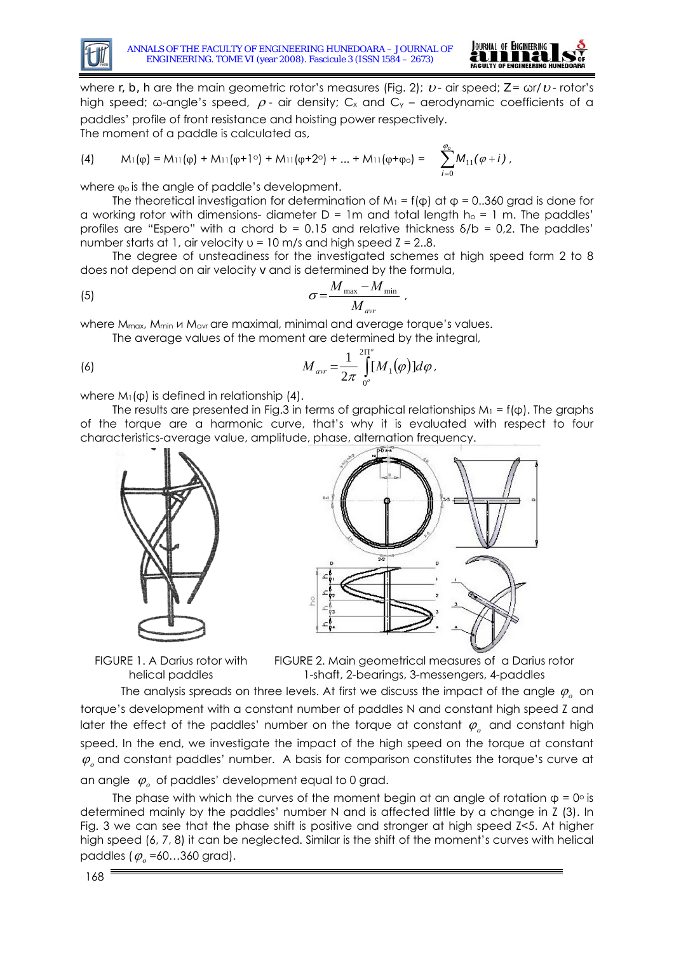



where *r, b, h* are the main geometric rotor's measures (Fig. 2); *v* - air speed; *Z* = ωr/*v* - rotor's high speed; ω-angle's speed,  $ρ$ - air density; C<sub>x</sub> and C<sub>y</sub> – aerodynamic coefficients of a paddles' profile of front resistance and hoisting power respectively.

The moment of a paddle is calculated as,

(4) 
$$
M_1(\varphi) = M_{11}(\varphi) + M_{11}(\varphi + 10) + M_{11}(\varphi + 20) + ... + M_{11}(\varphi + \varphi_0) = \sum_{i=0}^{\varphi_0} M_{11}(\varphi + i),
$$

where  $\varphi$  is the angle of paddle's development.

The theoretical investigation for determination of M<sub>1</sub> = f( $\phi$ ) at  $\phi$  = 0..360 grad is done for a working rotor with dimensions- diameter  $D = 1m$  and total length  $h_0 = 1 m$ . The paddles' profiles are "Espero" with a chord  $b = 0.15$  and relative thickness  $\delta/b = 0.2$ . The paddles' number starts at 1, air velocity  $u = 10$  m/s and high speed  $Z = 2.8$ .

 The degree of unsteadiness for the investigated schemes at high speed form 2 to 8 does not depend on air velocity *v* and is determined by the formula,

(5) 
$$
\sigma = \frac{M_{\text{max}} - M_{\text{min}}}{M_{\text{avr}}}
$$

where  $M_{\text{max}}$ ,  $M_{\text{min}}$   $\mu$   $M_{\text{avr}}$  are maximal, minimal and average torque's values.

The average values of the moment are determined by the integral,

(6) 
$$
M_{\text{avr}} = \frac{1}{2\pi} \int_{0}^{2\Pi^{o}} [M_{1}(\varphi)] d\varphi.
$$

where  $M_1(\phi)$  is defined in relationship (4).

The results are presented in Fig.3 in terms of graphical relationships  $M_1 = f(\phi)$ . The graphs of the torque are a harmonic curve, that's why it is evaluated with respect to four characteristics-average value, amplitude, phase, alternation frequency.



FIGURE 1. A Darius rotor with helical paddles

FIGURE 2. Main geometrical measures of a Darius rotor 1-shaft, 2-bearings, 3-messengers, 4-paddles

 The analysis spreads on three levels. At first we discuss the impact of the angle ϕ*о* on torque's development with a constant number of paddles N and constant high speed Z and later the effect of the paddles' number on the torque at constant  $\varphi$ <sub>o</sub> and constant high speed. In the end, we investigate the impact of the high speed on the torque at constant  $φ<sub>o</sub>$  and constant paddles' number. A basis for comparison constitutes the torque's curve at an angle ϕ*о* of paddles' development equal to 0 grad.

The phase with which the curves of the moment begin at an angle of rotation  $\varphi = 0^\circ$  is determined mainly by the paddles' number N and is affected little by a change in Z (3). In Fig. 3 we can see that the phase shift is positive and stronger at high speed Z<5. At higher high speed (6, 7, 8) it can be neglected. Similar is the shift of the moment's curves with helical paddles ( $\varphi$ <sub>o</sub> =60...360 grad).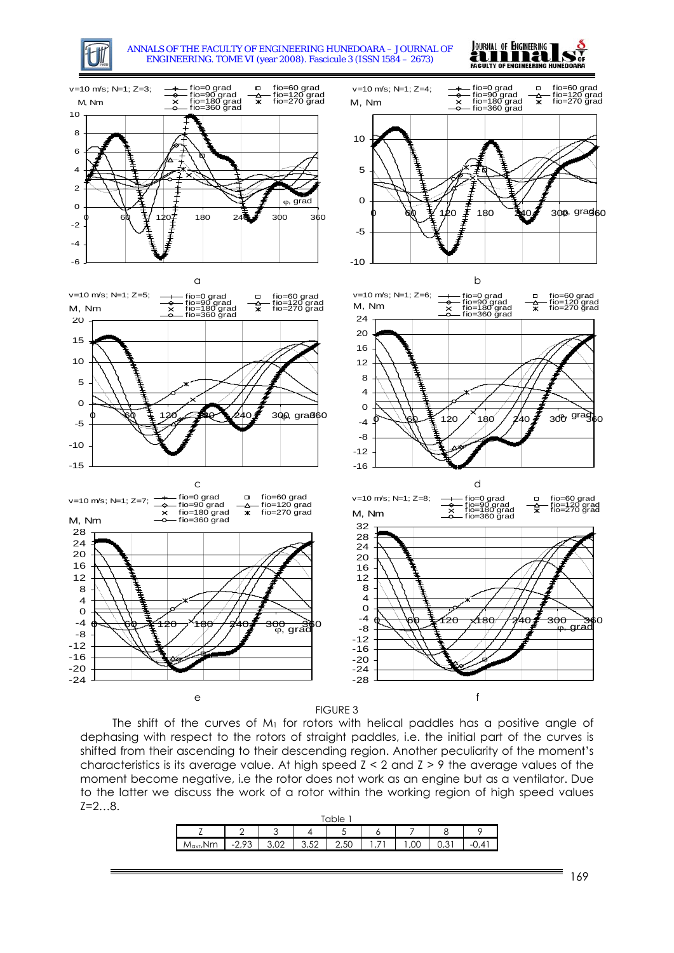

ANNALS OF THE FACULTY OF ENGINEERING HUNEDOARA – JOURNAL OF ENGINEERING. TOME VI (year 2008). Fascicule 3 (ISSN 1584 – 2673)





FIGURE 3

The shift of the curves of  $M_1$  for rotors with helical paddles has a positive angle of dephasing with respect to the rotors of straight paddles, i.e. the initial part of the curves is shifted from their ascending to their descending region. Another peculiarity of the moment's characteristics is its average value. At high speed  $Z < 2$  and  $Z > 9$  the average values of the moment become negative, i.e the rotor does not work as an engine but as a ventilator. Due to the latter we discuss the work of a rotor within the working region of high speed values Z=2…8.

|       |                                   | ◠<br><b>.</b>   |             |                |                          |     |      |  |
|-------|-----------------------------------|-----------------|-------------|----------------|--------------------------|-----|------|--|
| Mavr. | $\overline{\phantom{a}}$<br>ں ہے۔ | $\cup$ , $\cup$ | 250<br>J,JL | $\sim$<br>2,5U | $\overline{\phantom{a}}$ | ,00 | ・・・・ |  |